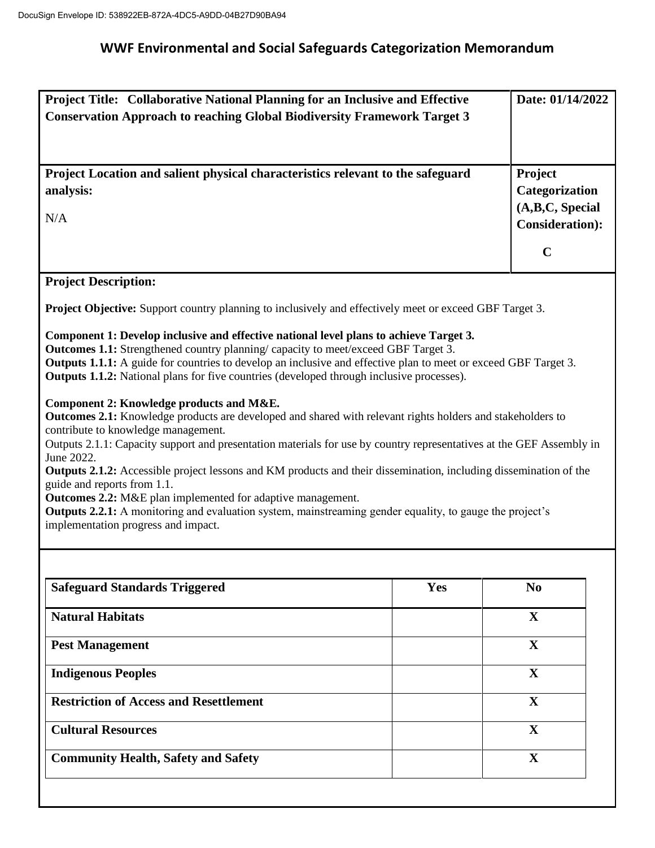## **WWF Environmental and Social Safeguards Categorization Memorandum**

| Project Title: Collaborative National Planning for an Inclusive and Effective<br><b>Conservation Approach to reaching Global Biodiversity Framework Target 3</b>                                                                                                                                                                                                                                                                                                                                                                                                                                                                                                                                                        |     | Date: 01/14/2022                                                        |  |
|-------------------------------------------------------------------------------------------------------------------------------------------------------------------------------------------------------------------------------------------------------------------------------------------------------------------------------------------------------------------------------------------------------------------------------------------------------------------------------------------------------------------------------------------------------------------------------------------------------------------------------------------------------------------------------------------------------------------------|-----|-------------------------------------------------------------------------|--|
| Project Location and salient physical characteristics relevant to the safeguard<br>analysis:<br>N/A                                                                                                                                                                                                                                                                                                                                                                                                                                                                                                                                                                                                                     |     | Project<br>Categorization<br>(A,B,C, Special<br><b>Consideration</b> ): |  |
|                                                                                                                                                                                                                                                                                                                                                                                                                                                                                                                                                                                                                                                                                                                         |     | $\mathbf C$                                                             |  |
| <b>Project Description:</b>                                                                                                                                                                                                                                                                                                                                                                                                                                                                                                                                                                                                                                                                                             |     |                                                                         |  |
| <b>Project Objective:</b> Support country planning to inclusively and effectively meet or exceed GBF Target 3.                                                                                                                                                                                                                                                                                                                                                                                                                                                                                                                                                                                                          |     |                                                                         |  |
| Component 1: Develop inclusive and effective national level plans to achieve Target 3.<br>Outcomes 1.1: Strengthened country planning/ capacity to meet/exceed GBF Target 3.<br>Outputs 1.1.1: A guide for countries to develop an inclusive and effective plan to meet or exceed GBF Target 3.<br><b>Outputs 1.1.2:</b> National plans for five countries (developed through inclusive processes).                                                                                                                                                                                                                                                                                                                     |     |                                                                         |  |
| Component 2: Knowledge products and M&E.<br>Outcomes 2.1: Knowledge products are developed and shared with relevant rights holders and stakeholders to<br>contribute to knowledge management.<br>Outputs 2.1.1: Capacity support and presentation materials for use by country representatives at the GEF Assembly in<br>June 2022.<br>Outputs 2.1.2: Accessible project lessons and KM products and their dissemination, including dissemination of the<br>guide and reports from 1.1.<br><b>Outcomes 2.2:</b> M&E plan implemented for adaptive management.<br><b>Outputs 2.2.1:</b> A monitoring and evaluation system, mainstreaming gender equality, to gauge the project's<br>implementation progress and impact. |     |                                                                         |  |
|                                                                                                                                                                                                                                                                                                                                                                                                                                                                                                                                                                                                                                                                                                                         |     |                                                                         |  |
| <b>Safeguard Standards Triggered</b>                                                                                                                                                                                                                                                                                                                                                                                                                                                                                                                                                                                                                                                                                    | Yes | N <sub>0</sub>                                                          |  |
| <b>Natural Habitats</b>                                                                                                                                                                                                                                                                                                                                                                                                                                                                                                                                                                                                                                                                                                 |     | $\mathbf{X}$                                                            |  |
| <b>Pest Management</b>                                                                                                                                                                                                                                                                                                                                                                                                                                                                                                                                                                                                                                                                                                  |     | $\mathbf X$                                                             |  |
| <b>Indigenous Peoples</b>                                                                                                                                                                                                                                                                                                                                                                                                                                                                                                                                                                                                                                                                                               |     | $\mathbf{X}$                                                            |  |
| <b>Restriction of Access and Resettlement</b>                                                                                                                                                                                                                                                                                                                                                                                                                                                                                                                                                                                                                                                                           |     | X                                                                       |  |
| <b>Cultural Resources</b>                                                                                                                                                                                                                                                                                                                                                                                                                                                                                                                                                                                                                                                                                               |     | $\mathbf X$                                                             |  |
| <b>Community Health, Safety and Safety</b>                                                                                                                                                                                                                                                                                                                                                                                                                                                                                                                                                                                                                                                                              |     | X                                                                       |  |
|                                                                                                                                                                                                                                                                                                                                                                                                                                                                                                                                                                                                                                                                                                                         |     |                                                                         |  |